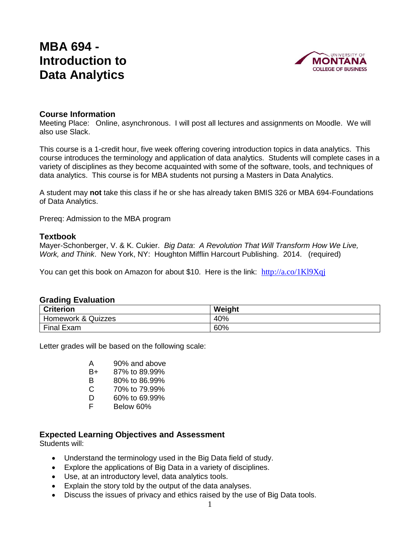# **MBA 694 - Introduction to Data Analytics**



# **Course Information**

Meeting Place: Online, asynchronous. I will post all lectures and assignments on Moodle. We will also use Slack.

This course is a 1-credit hour, five week offering covering introduction topics in data analytics. This course introduces the terminology and application of data analytics. Students will complete cases in a variety of disciplines as they become acquainted with some of the software, tools, and techniques of data analytics. This course is for MBA students not pursing a Masters in Data Analytics.

A student may **not** take this class if he or she has already taken BMIS 326 or MBA 694-Foundations of Data Analytics.

Prereq: Admission to the MBA program

# **Textbook**

Mayer-Schonberger, V. & K. Cukier. *Big Data*: *A Revolution That Will Transform How We Live, Work, and Think*. New York, NY: Houghton Mifflin Harcourt Publishing. 2014. (required)

You can get this book on Amazon for about \$10. Here is the link:  $\frac{http://a.co/1Kl9Xqi}{$ 

#### **Grading Evaluation**

| <b>Criterion</b>   | Weight |
|--------------------|--------|
| Homework & Quizzes | 40%    |
| Final E<br>Exam    | 60%    |

Letter grades will be based on the following scale:

| Α | 90% and above |
|---|---------------|
|   |               |

- B+ 87% to 89.99%
- B 80% to 86.99%
- C 70% to 79.99%
- D 60% to 69.99%
- F Below 60%

# **Expected Learning Objectives and Assessment**

Students will:

- Understand the terminology used in the Big Data field of study.
- Explore the applications of Big Data in a variety of disciplines.
- Use, at an introductory level, data analytics tools.
- Explain the story told by the output of the data analyses.
- Discuss the issues of privacy and ethics raised by the use of Big Data tools.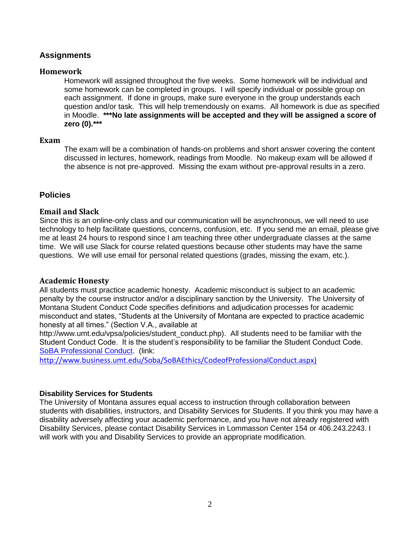# **Assignments**

#### **Homework**

Homework will assigned throughout the five weeks. Some homework will be individual and some homework can be completed in groups. I will specify individual or possible group on each assignment. If done in groups, make sure everyone in the group understands each question and/or task. This will help tremendously on exams. All homework is due as specified in Moodle. **\*\*\*No late assignments will be accepted and they will be assigned a score of zero (0).\*\*\***

#### **Exam**

The exam will be a combination of hands-on problems and short answer covering the content discussed in lectures, homework, readings from Moodle. No makeup exam will be allowed if the absence is not pre-approved. Missing the exam without pre-approval results in a zero.

# **Policies**

# **Email and Slack**

Since this is an online-only class and our communication will be asynchronous, we will need to use technology to help facilitate questions, concerns, confusion, etc. If you send me an email, please give me at least 24 hours to respond since I am teaching three other undergraduate classes at the same time. We will use Slack for course related questions because other students may have the same questions. We will use email for personal related questions (grades, missing the exam, etc.).

# **Academic Honesty**

All students must practice academic honesty. Academic misconduct is subject to an academic penalty by the course instructor and/or a disciplinary sanction by the University. The University of Montana Student Conduct Code specifies definitions and adjudication processes for academic misconduct and states, "Students at the University of Montana are expected to practice academic honesty at all times." (Section V.A., available at

[http://www.umt.edu/vpsa/policies/student\\_conduct.php\)](http://www.umt.edu/vpsa/policies/student_conduct.php). All students need to be familiar with the Student Conduct Code. It is the student's responsibility to be familiar the Student Conduct Code. [SoBA Professional Conduct.](http://www.business.umt.edu/Soba/SoBAEthics/CodeofProfessionalConduct.aspx) (link:

[http://www.business.umt.edu/Soba/SoBAEthics/CodeofProfessionalConduct.aspx\)](http://www.business.umt.edu/Soba/SoBAEthics/CodeofProfessionalConduct.aspx)

# **[Disability Services for Students](http://www.umt.edu/dss/default.php)**

The University of Montana assures equal access to instruction through collaboration between students with disabilities, instructors, and Disability Services for Students. If you think you may have a disability adversely affecting your academic performance, and you have not already registered with Disability Services, please contact Disability Services in Lommasson Center 154 or 406.243.2243. I will work with you and Disability Services to provide an appropriate modification.